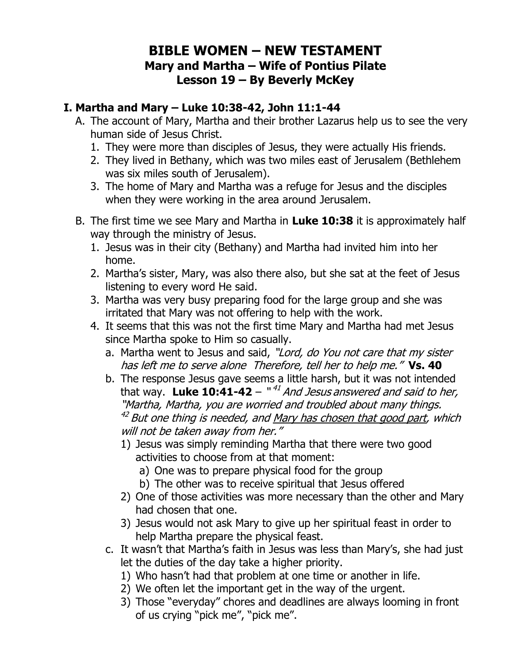# **BIBLE WOMEN – NEW TESTAMENT Mary and Martha – Wife of Pontius Pilate Lesson 19 – By Beverly McKey**

## **I. Martha and Mary – Luke 10:38-42, John 11:1-44**

- A. The account of Mary, Martha and their brother Lazarus help us to see the very human side of Jesus Christ.
	- 1. They were more than disciples of Jesus, they were actually His friends.
	- 2. They lived in Bethany, which was two miles east of Jerusalem (Bethlehem was six miles south of Jerusalem).
	- 3. The home of Mary and Martha was a refuge for Jesus and the disciples when they were working in the area around Jerusalem.
- B. The first time we see Mary and Martha in **Luke 10:38** it is approximately half way through the ministry of Jesus.
	- 1. Jesus was in their city (Bethany) and Martha had invited him into her home.
	- 2. Martha's sister, Mary, was also there also, but she sat at the feet of Jesus listening to every word He said.
	- 3. Martha was very busy preparing food for the large group and she was irritated that Mary was not offering to help with the work.
	- 4. It seems that this was not the first time Mary and Martha had met Jesus since Martha spoke to Him so casually.
		- a. Martha went to Jesus and said, "Lord, do You not care that my sister has left me to serve alone Therefore, tell her to help me." **Vs. 40**
		- b. The response Jesus gave seems a little harsh, but it was not intended that way. **Luke 10:41-42** – "<sup>41</sup> And Jesus answered and said to her, "Martha, Martha, you are worried and troubled about many things. <sup>42</sup> But one thing is needed, and <u>Mary has chosen that good part</u>, which will not be taken away from her."
			- 1) Jesus was simply reminding Martha that there were two good activities to choose from at that moment:
				- a) One was to prepare physical food for the group
				- b) The other was to receive spiritual that Jesus offered
			- 2) One of those activities was more necessary than the other and Mary had chosen that one.
			- 3) Jesus would not ask Mary to give up her spiritual feast in order to help Martha prepare the physical feast.
		- c. It wasn't that Martha's faith in Jesus was less than Mary's, she had just let the duties of the day take a higher priority.
			- 1) Who hasn't had that problem at one time or another in life.
			- 2) We often let the important get in the way of the urgent.
			- 3) Those "everyday" chores and deadlines are always looming in front of us crying "pick me", "pick me".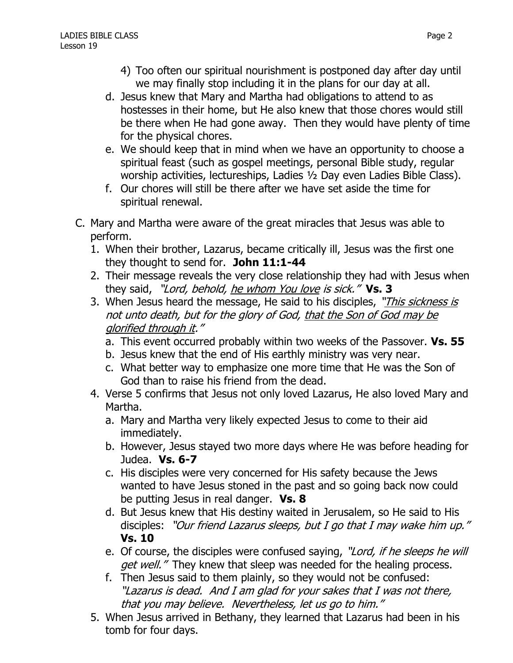- 4) Too often our spiritual nourishment is postponed day after day until we may finally stop including it in the plans for our day at all.
- d. Jesus knew that Mary and Martha had obligations to attend to as hostesses in their home, but He also knew that those chores would still be there when He had gone away. Then they would have plenty of time for the physical chores.
- e. We should keep that in mind when we have an opportunity to choose a spiritual feast (such as gospel meetings, personal Bible study, regular worship activities, lectureships, Ladies ½ Day even Ladies Bible Class).
- f. Our chores will still be there after we have set aside the time for spiritual renewal.
- C. Mary and Martha were aware of the great miracles that Jesus was able to perform.
	- 1. When their brother, Lazarus, became critically ill, Jesus was the first one they thought to send for. **John 11:1-44**
	- 2. Their message reveals the very close relationship they had with Jesus when they said, "Lord, behold, he whom You love is sick." **Vs. 3**
	- 3. When Jesus heard the message, He said to his disciples, "This sickness is not unto death, but for the glory of God, that the Son of God may be glorified through it."
		- a. This event occurred probably within two weeks of the Passover. **Vs. 55**
		- b. Jesus knew that the end of His earthly ministry was very near.
		- c. What better way to emphasize one more time that He was the Son of God than to raise his friend from the dead.
	- 4. Verse 5 confirms that Jesus not only loved Lazarus, He also loved Mary and Martha.
		- a. Mary and Martha very likely expected Jesus to come to their aid immediately.
		- b. However, Jesus stayed two more days where He was before heading for Judea. **Vs. 6-7**
		- c. His disciples were very concerned for His safety because the Jews wanted to have Jesus stoned in the past and so going back now could be putting Jesus in real danger. **Vs. 8**
		- d. But Jesus knew that His destiny waited in Jerusalem, so He said to His disciples: "Our friend Lazarus sleeps, but I go that I may wake him up." **Vs. 10**
		- e. Of course, the disciples were confused saying, "Lord, if he sleeps he will get well."They knew that sleep was needed for the healing process.
		- f. Then Jesus said to them plainly, so they would not be confused: "Lazarus is dead. And I am glad for your sakes that I was not there, that you may believe. Nevertheless, let us go to him."
	- 5. When Jesus arrived in Bethany, they learned that Lazarus had been in his tomb for four days.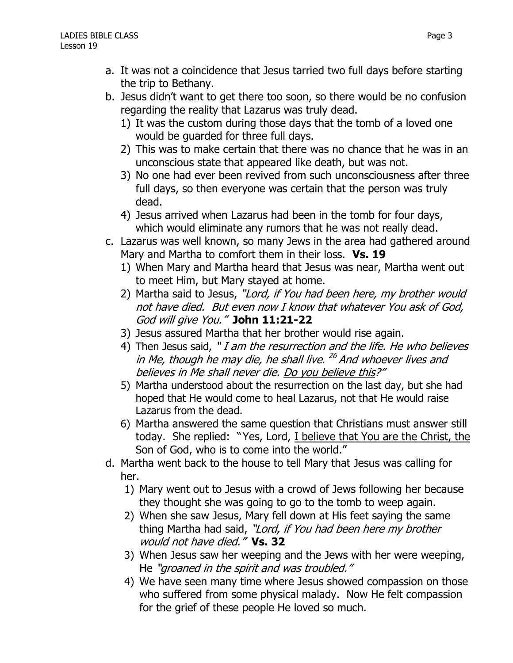- a. It was not a coincidence that Jesus tarried two full days before starting the trip to Bethany.
- b. Jesus didn't want to get there too soon, so there would be no confusion regarding the reality that Lazarus was truly dead.
	- 1) It was the custom during those days that the tomb of a loved one would be guarded for three full days.
	- 2) This was to make certain that there was no chance that he was in an unconscious state that appeared like death, but was not.
	- 3) No one had ever been revived from such unconsciousness after three full days, so then everyone was certain that the person was truly dead.
	- 4) Jesus arrived when Lazarus had been in the tomb for four days, which would eliminate any rumors that he was not really dead.
- c. Lazarus was well known, so many Jews in the area had gathered around Mary and Martha to comfort them in their loss. **Vs. 19**
	- 1) When Mary and Martha heard that Jesus was near, Martha went out to meet Him, but Mary stayed at home.
	- 2) Martha said to Jesus, "Lord, if You had been here, my brother would not have died. But even now I know that whatever You ask of God, God will give You." **John 11:21-22**
	- 3) Jesus assured Martha that her brother would rise again.
	- 4) Then Jesus said, "*I am the resurrection and the life. He who believes* in Me, though he may die, he shall live. <sup>26</sup> And whoever lives and believes in Me shall never die. Do you believe this?"
	- 5) Martha understood about the resurrection on the last day, but she had hoped that He would come to heal Lazarus, not that He would raise Lazarus from the dead.
	- 6) Martha answered the same question that Christians must answer still today. She replied: "Yes, Lord, I believe that You are the Christ, the Son of God, who is to come into the world."
- d. Martha went back to the house to tell Mary that Jesus was calling for her.
	- 1) Mary went out to Jesus with a crowd of Jews following her because they thought she was going to go to the tomb to weep again.
	- 2) When she saw Jesus, Mary fell down at His feet saying the same thing Martha had said, "Lord, if You had been here my brother would not have died." **Vs. 32**
	- 3) When Jesus saw her weeping and the Jews with her were weeping, He "groaned in the spirit and was troubled."
	- 4) We have seen many time where Jesus showed compassion on those who suffered from some physical malady. Now He felt compassion for the grief of these people He loved so much.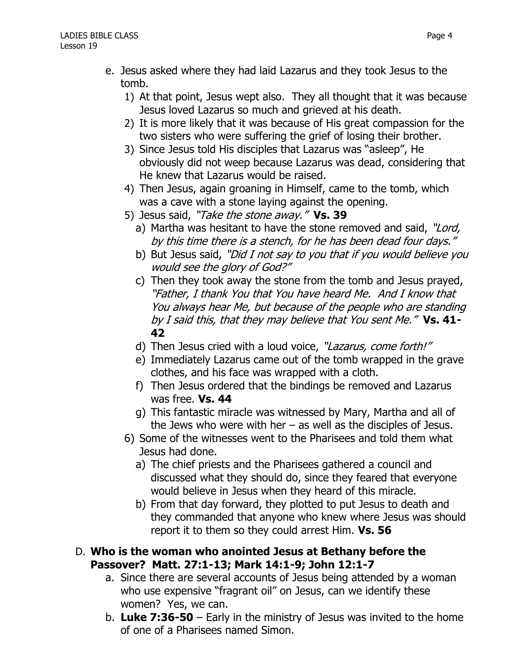- e. Jesus asked where they had laid Lazarus and they took Jesus to the tomb.
	- 1) At that point, Jesus wept also. They all thought that it was because Jesus loved Lazarus so much and grieved at his death.
	- 2) It is more likely that it was because of His great compassion for the two sisters who were suffering the grief of losing their brother.
	- 3) Since Jesus told His disciples that Lazarus was "asleep", He obviously did not weep because Lazarus was dead, considering that He knew that Lazarus would be raised.
	- 4) Then Jesus, again groaning in Himself, came to the tomb, which was a cave with a stone laying against the opening.
	- 5) Jesus said, "Take the stone away." **Vs. 39**
		- a) Martha was hesitant to have the stone removed and said, "Lord, by this time there is a stench, for he has been dead four days."
		- b) But Jesus said, "Did I not say to you that if you would believe you would see the glory of God?"
		- c) Then they took away the stone from the tomb and Jesus prayed, "Father, I thank You that You have heard Me. And I know that You always hear Me, but because of the people who are standing by I said this, that they may believe that You sent Me." **Vs. 41- 42**
		- d) Then Jesus cried with a loud voice, "Lazarus, come forth!"
		- e) Immediately Lazarus came out of the tomb wrapped in the grave clothes, and his face was wrapped with a cloth.
		- f) Then Jesus ordered that the bindings be removed and Lazarus was free. **Vs. 44**
		- g) This fantastic miracle was witnessed by Mary, Martha and all of the Jews who were with her  $-$  as well as the disciples of Jesus.
	- 6) Some of the witnesses went to the Pharisees and told them what Jesus had done.
		- a) The chief priests and the Pharisees gathered a council and discussed what they should do, since they feared that everyone would believe in Jesus when they heard of this miracle.
		- b) From that day forward, they plotted to put Jesus to death and they commanded that anyone who knew where Jesus was should report it to them so they could arrest Him. **Vs. 56**

#### D. **Who is the woman who anointed Jesus at Bethany before the Passover? Matt. 27:1-13; Mark 14:1-9; John 12:1-7**

- a. Since there are several accounts of Jesus being attended by a woman who use expensive "fragrant oil" on Jesus, can we identify these women? Yes, we can.
- b. **Luke 7:36-50** Early in the ministry of Jesus was invited to the home of one of a Pharisees named Simon.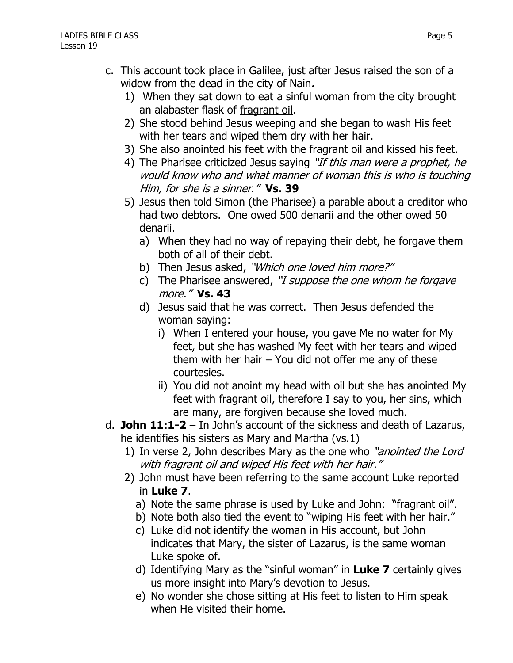- c. This account took place in Galilee, just after Jesus raised the son of a widow from the dead in the city of Nain**.**
	- 1) When they sat down to eat a sinful woman from the city brought an alabaster flask of fragrant oil.
	- 2) She stood behind Jesus weeping and she began to wash His feet with her tears and wiped them dry with her hair.
	- 3) She also anointed his feet with the fragrant oil and kissed his feet.
	- 4) The Pharisee criticized Jesus saying "If this man were a prophet, he would know who and what manner of woman this is who is touching Him, for she is a sinner." **Vs. 39**
	- 5) Jesus then told Simon (the Pharisee) a parable about a creditor who had two debtors. One owed 500 denarii and the other owed 50 denarii.
		- a) When they had no way of repaying their debt, he forgave them both of all of their debt.
		- b) Then Jesus asked, "Which one loved him more?"
		- c) The Pharisee answered, "I suppose the one whom he forgave more." **Vs. 43**
		- d) Jesus said that he was correct. Then Jesus defended the woman saying:
			- i) When I entered your house, you gave Me no water for My feet, but she has washed My feet with her tears and wiped them with her hair – You did not offer me any of these courtesies.
			- ii) You did not anoint my head with oil but she has anointed My feet with fragrant oil, therefore I say to you, her sins, which are many, are forgiven because she loved much.
- d. **John 11:1-2** In John's account of the sickness and death of Lazarus, he identifies his sisters as Mary and Martha (vs.1)
	- 1) In verse 2, John describes Mary as the one who "*anointed the Lord* with fragrant oil and wiped His feet with her hair."
	- 2) John must have been referring to the same account Luke reported in **Luke 7**.
		- a) Note the same phrase is used by Luke and John: "fragrant oil".
		- b) Note both also tied the event to "wiping His feet with her hair."
		- c) Luke did not identify the woman in His account, but John indicates that Mary, the sister of Lazarus, is the same woman Luke spoke of.
		- d) Identifying Mary as the "sinful woman" in **Luke 7** certainly gives us more insight into Mary's devotion to Jesus.
		- e) No wonder she chose sitting at His feet to listen to Him speak when He visited their home.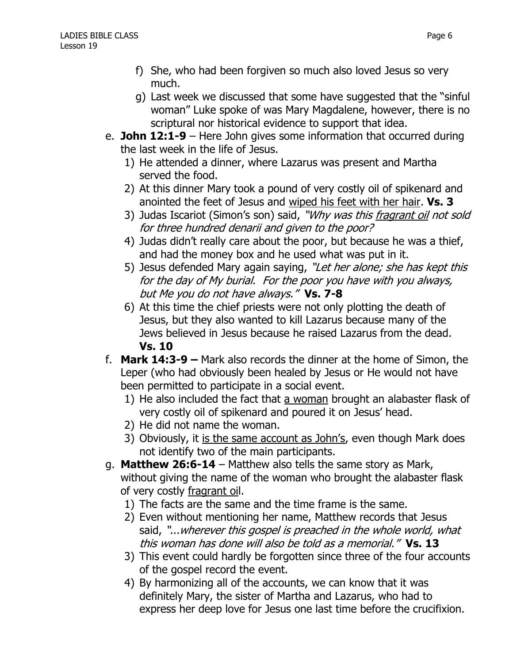- f) She, who had been forgiven so much also loved Jesus so very much.
- g) Last week we discussed that some have suggested that the "sinful woman" Luke spoke of was Mary Magdalene, however, there is no scriptural nor historical evidence to support that idea.
- e. **John 12:1-9** Here John gives some information that occurred during the last week in the life of Jesus.
	- 1) He attended a dinner, where Lazarus was present and Martha served the food.
	- 2) At this dinner Mary took a pound of very costly oil of spikenard and anointed the feet of Jesus and wiped his feet with her hair. **Vs. 3**
	- 3) Judas Iscariot (Simon's son) said, "*Why was this <u>fragrant oil</u> not sold* for three hundred denarii and given to the poor?
	- 4) Judas didn't really care about the poor, but because he was a thief, and had the money box and he used what was put in it.
	- 5) Jesus defended Mary again saying, "Let her alone; she has kept this for the day of My burial. For the poor you have with you always, but Me you do not have always." **Vs. 7-8**
	- 6) At this time the chief priests were not only plotting the death of Jesus, but they also wanted to kill Lazarus because many of the Jews believed in Jesus because he raised Lazarus from the dead. **Vs. 10**
- f. **Mark 14:3-9 –** Mark also records the dinner at the home of Simon, the Leper (who had obviously been healed by Jesus or He would not have been permitted to participate in a social event.
	- 1) He also included the fact that a woman brought an alabaster flask of very costly oil of spikenard and poured it on Jesus' head.
	- 2) He did not name the woman.
	- 3) Obviously, it is the same account as John's, even though Mark does not identify two of the main participants.
- g. **Matthew 26:6-14** Matthew also tells the same story as Mark, without giving the name of the woman who brought the alabaster flask of very costly fragrant oil.
	- 1) The facts are the same and the time frame is the same.
	- 2) Even without mentioning her name, Matthew records that Jesus said, "...wherever this gospel is preached in the whole world, what this woman has done will also be told as a memorial." **Vs. 13**
	- 3) This event could hardly be forgotten since three of the four accounts of the gospel record the event.
	- 4) By harmonizing all of the accounts, we can know that it was definitely Mary, the sister of Martha and Lazarus, who had to express her deep love for Jesus one last time before the crucifixion.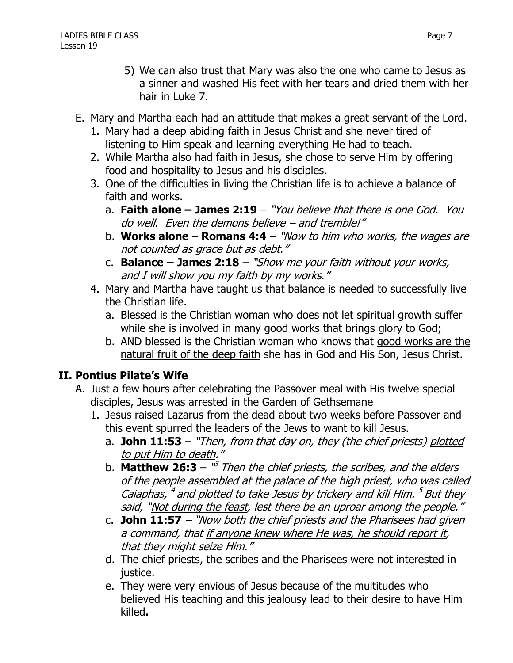- 5) We can also trust that Mary was also the one who came to Jesus as a sinner and washed His feet with her tears and dried them with her hair in Luke 7.
- E. Mary and Martha each had an attitude that makes a great servant of the Lord.
	- 1. Mary had a deep abiding faith in Jesus Christ and she never tired of listening to Him speak and learning everything He had to teach.
	- 2. While Martha also had faith in Jesus, she chose to serve Him by offering food and hospitality to Jesus and his disciples.
	- 3. One of the difficulties in living the Christian life is to achieve a balance of faith and works.
		- a. **Faith alone – James 2:19** "You believe that there is one God. You do well. Even the demons believe – and tremble!"
		- b. **Works alone Romans 4:4** "Now to him who works, the wages are not counted as grace but as debt."
		- c. **Balance – James 2:18** "Show me your faith without your works, and I will show you my faith by my works."
	- 4. Mary and Martha have taught us that balance is needed to successfully live the Christian life.
		- a. Blessed is the Christian woman who does not let spiritual growth suffer while she is involved in many good works that brings glory to God;
		- b. AND blessed is the Christian woman who knows that good works are the natural fruit of the deep faith she has in God and His Son, Jesus Christ.

## **II. Pontius Pilate's Wife**

- A. Just a few hours after celebrating the Passover meal with His twelve special disciples, Jesus was arrested in the Garden of Gethsemane
	- 1. Jesus raised Lazarus from the dead about two weeks before Passover and this event spurred the leaders of the Jews to want to kill Jesus.
		- a. **John 11:53** "Then, from that day on, they (the chief priests) plotted to put Him to death."
		- b. **Matthew 26:3** <sup>"3</sup> Then the chief priests, the scribes, and the elders of the people assembled at the palace of the high priest, who was called Caiaphas, <sup>4</sup> and <u>plotted to take Jesus by trickery and kill Him</u>. <sup>5</sup> But they said, "Not during the feast, lest there be an uproar among the people."
		- c. **John 11:57** "Now both the chief priests and the Pharisees had given a command, that if anyone knew where He was, he should report it, that they might seize Him."
		- d. The chief priests, the scribes and the Pharisees were not interested in justice.
		- e. They were very envious of Jesus because of the multitudes who believed His teaching and this jealousy lead to their desire to have Him killed**.**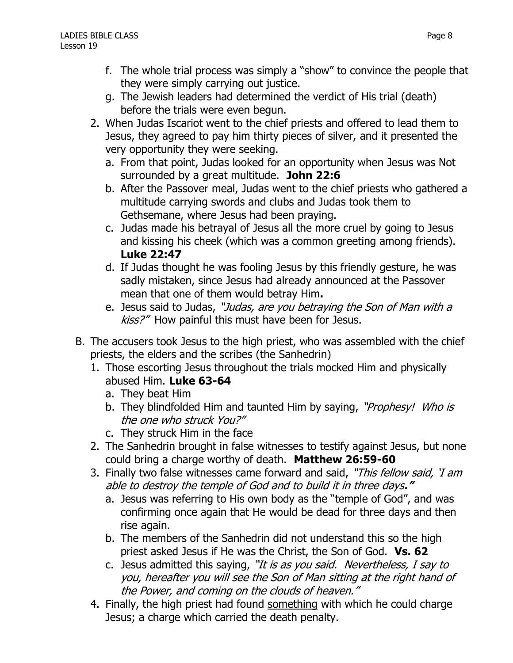- f. The whole trial process was simply a "show" to convince the people that they were simply carrying out justice.
- g. The Jewish leaders had determined the verdict of His trial (death) before the trials were even begun.
- 2. When Judas Iscariot went to the chief priests and offered to lead them to Jesus, they agreed to pay him thirty pieces of silver, and it presented the very opportunity they were seeking.
	- a. From that point, Judas looked for an opportunity when Jesus was Not surrounded by a great multitude. **John 22:6**
	- b. After the Passover meal, Judas went to the chief priests who gathered a multitude carrying swords and clubs and Judas took them to Gethsemane, where Jesus had been praying.
	- c. Judas made his betrayal of Jesus all the more cruel by going to Jesus and kissing his cheek (which was a common greeting among friends). **Luke 22:47**
	- d. If Judas thought he was fooling Jesus by this friendly gesture, he was sadly mistaken, since Jesus had already announced at the Passover mean that one of them would betray Him**.**
	- e. Jesus said to Judas, "Judas, are you betraying the Son of Man with a kiss?" How painful this must have been for Jesus.
- B. The accusers took Jesus to the high priest, who was assembled with the chief priests, the elders and the scribes (the Sanhedrin)
	- 1. Those escorting Jesus throughout the trials mocked Him and physically abused Him. **Luke 63-64**
		- a. They beat Him
		- b. They blindfolded Him and taunted Him by saying, "Prophesy! Who is the one who struck You?"
		- c. They struck Him in the face
	- 2. The Sanhedrin brought in false witnesses to testify against Jesus, but none could bring a charge worthy of death. **Matthew 26:59-60**
	- 3. Finally two false witnesses came forward and said, "This fellow said, 'I am able to destroy the temple of God and to build it in three days**."**
		- a. Jesus was referring to His own body as the "temple of God", and was confirming once again that He would be dead for three days and then rise again.
		- b. The members of the Sanhedrin did not understand this so the high priest asked Jesus if He was the Christ, the Son of God. **Vs. 62**
		- c. Jesus admitted this saying, "It is as you said. Nevertheless, I say to you, hereafter you will see the Son of Man sitting at the right hand of the Power, and coming on the clouds of heaven."
	- 4. Finally, the high priest had found something with which he could charge Jesus; a charge which carried the death penalty.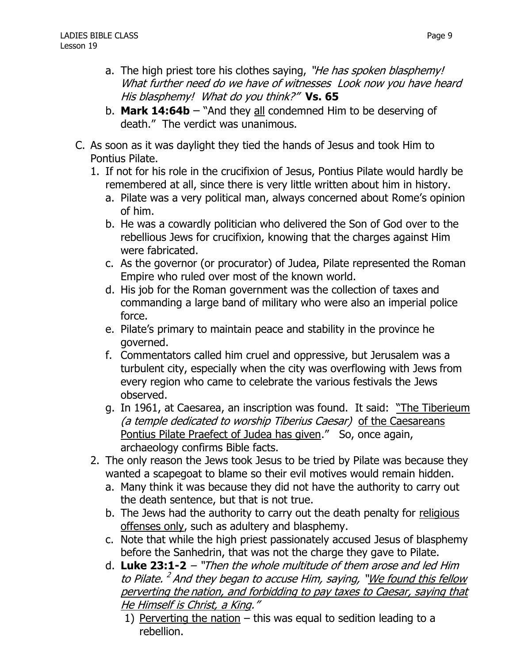- a. The high priest tore his clothes saying, "He has spoken blasphemy! What further need do we have of witnesses Look now you have heard His blasphemy! What do you think?" **Vs. 65**
- b. **Mark 14:64b** "And they all condemned Him to be deserving of death." The verdict was unanimous.
- C. As soon as it was daylight they tied the hands of Jesus and took Him to Pontius Pilate.
	- 1. If not for his role in the crucifixion of Jesus, Pontius Pilate would hardly be remembered at all, since there is very little written about him in history.
		- a. Pilate was a very political man, always concerned about Rome's opinion of him.
		- b. He was a cowardly politician who delivered the Son of God over to the rebellious Jews for crucifixion, knowing that the charges against Him were fabricated.
		- c. As the governor (or procurator) of Judea, Pilate represented the Roman Empire who ruled over most of the known world.
		- d. His job for the Roman government was the collection of taxes and commanding a large band of military who were also an imperial police force.
		- e. Pilate's primary to maintain peace and stability in the province he governed.
		- f. Commentators called him cruel and oppressive, but Jerusalem was a turbulent city, especially when the city was overflowing with Jews from every region who came to celebrate the various festivals the Jews observed.
		- g. In 1961, at Caesarea, an inscription was found. It said: "The Tiberieum (a temple dedicated to worship Tiberius Caesar) of the Caesareans Pontius Pilate Praefect of Judea has given." So, once again, archaeology confirms Bible facts.
	- 2. The only reason the Jews took Jesus to be tried by Pilate was because they wanted a scapegoat to blame so their evil motives would remain hidden.
		- a. Many think it was because they did not have the authority to carry out the death sentence, but that is not true.
		- b. The Jews had the authority to carry out the death penalty for religious offenses only, such as adultery and blasphemy.
		- c. Note that while the high priest passionately accused Jesus of blasphemy before the Sanhedrin, that was not the charge they gave to Pilate.
		- d. **Luke 23:1-2** "Then the whole multitude of them arose and led Him to Pilate. <sup>2</sup> And they began to accuse Him, saying, "<u>We found this fellow</u> perverting the nation, and forbidding to pay taxes to Caesar, saying that He Himself is Christ, a King."
			- 1) Perverting the nation  $-$  this was equal to sedition leading to a rebellion.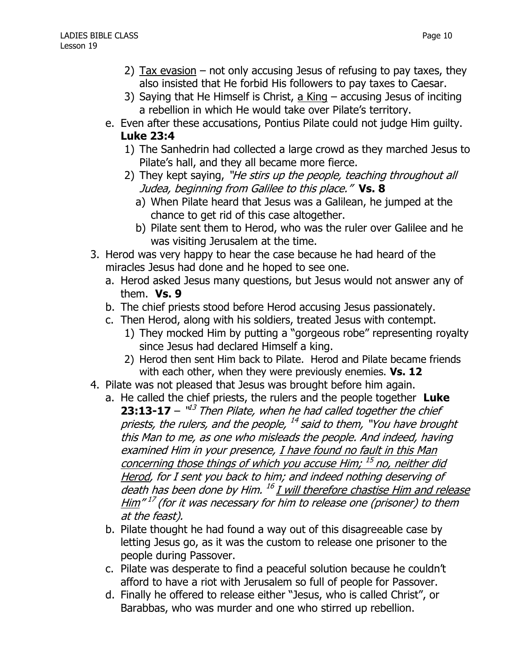- 2) Tax evasion not only accusing Jesus of refusing to pay taxes, they also insisted that He forbid His followers to pay taxes to Caesar.
- 3) Saying that He Himself is Christ, a King accusing Jesus of inciting a rebellion in which He would take over Pilate's territory.
- e. Even after these accusations, Pontius Pilate could not judge Him guilty.

## **Luke 23:4**

- 1) The Sanhedrin had collected a large crowd as they marched Jesus to Pilate's hall, and they all became more fierce.
- 2) They kept saying, "He stirs up the people, teaching throughout all Judea, beginning from Galilee to this place." **Vs. 8**
	- a) When Pilate heard that Jesus was a Galilean, he jumped at the chance to get rid of this case altogether.
	- b) Pilate sent them to Herod, who was the ruler over Galilee and he was visiting Jerusalem at the time.
- 3. Herod was very happy to hear the case because he had heard of the miracles Jesus had done and he hoped to see one.
	- a. Herod asked Jesus many questions, but Jesus would not answer any of them. **Vs. 9**
	- b. The chief priests stood before Herod accusing Jesus passionately.
	- c. Then Herod, along with his soldiers, treated Jesus with contempt.
		- 1) They mocked Him by putting a "gorgeous robe" representing royalty since Jesus had declared Himself a king.
		- 2) Herod then sent Him back to Pilate. Herod and Pilate became friends with each other, when they were previously enemies. **Vs. 12**
- 4. Pilate was not pleased that Jesus was brought before him again.
	- a. He called the chief priests, the rulers and the people together **Luke 23:13-17** –  $1^{d3}$  Then Pilate, when he had called together the chief priests, the rulers, and the people, <sup>14</sup> said to them, "You have brought this Man to me, as one who misleads the people. And indeed, having examined Him in your presence, I have found no fault in this Man concerning those things of which you accuse Him; <sup>15</sup> no, neither did Herod, for I sent you back to him; and indeed nothing deserving of death has been done by Him. <sup>16</sup> I will therefore chastise Him and release <u>Him</u>" <sup>17</sup> (for it was necessary for him to release one (prisoner) to them at the feast).
	- b. Pilate thought he had found a way out of this disagreeable case by letting Jesus go, as it was the custom to release one prisoner to the people during Passover.
	- c. Pilate was desperate to find a peaceful solution because he couldn't afford to have a riot with Jerusalem so full of people for Passover.
	- d. Finally he offered to release either "Jesus, who is called Christ", or Barabbas, who was murder and one who stirred up rebellion.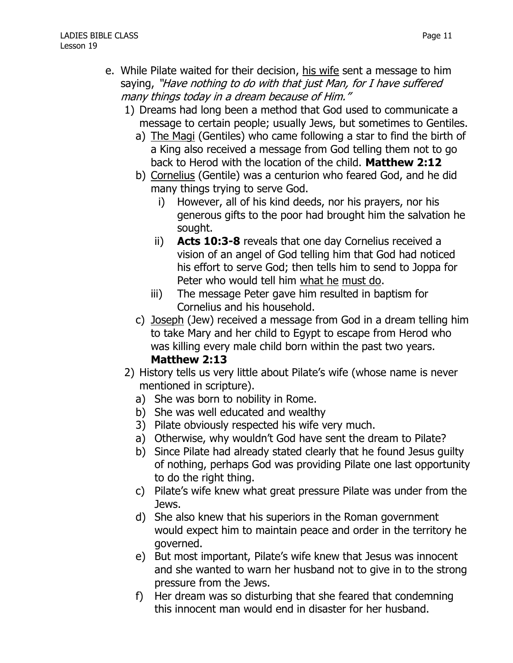- e. While Pilate waited for their decision, his wife sent a message to him saying, "Have nothing to do with that just Man, for I have suffered many things today in a dream because of Him."
	- 1) Dreams had long been a method that God used to communicate a message to certain people; usually Jews, but sometimes to Gentiles.
		- a) The Magi (Gentiles) who came following a star to find the birth of a King also received a message from God telling them not to go back to Herod with the location of the child. **Matthew 2:12**
		- b) Cornelius (Gentile) was a centurion who feared God, and he did many things trying to serve God.
			- i) However, all of his kind deeds, nor his prayers, nor his generous gifts to the poor had brought him the salvation he sought.
			- ii) **Acts 10:3-8** reveals that one day Cornelius received a vision of an angel of God telling him that God had noticed his effort to serve God; then tells him to send to Joppa for Peter who would tell him what he must do.
			- iii) The message Peter gave him resulted in baptism for Cornelius and his household.
		- c) Joseph (Jew) received a message from God in a dream telling him to take Mary and her child to Egypt to escape from Herod who was killing every male child born within the past two years. **Matthew 2:13**
	- 2) History tells us very little about Pilate's wife (whose name is never mentioned in scripture).
		- a) She was born to nobility in Rome.
		- b) She was well educated and wealthy
		- 3) Pilate obviously respected his wife very much.
		- a) Otherwise, why wouldn't God have sent the dream to Pilate?
		- b) Since Pilate had already stated clearly that he found Jesus guilty of nothing, perhaps God was providing Pilate one last opportunity to do the right thing.
		- c) Pilate's wife knew what great pressure Pilate was under from the Jews.
		- d) She also knew that his superiors in the Roman government would expect him to maintain peace and order in the territory he governed.
		- e) But most important, Pilate's wife knew that Jesus was innocent and she wanted to warn her husband not to give in to the strong pressure from the Jews.
		- f) Her dream was so disturbing that she feared that condemning this innocent man would end in disaster for her husband.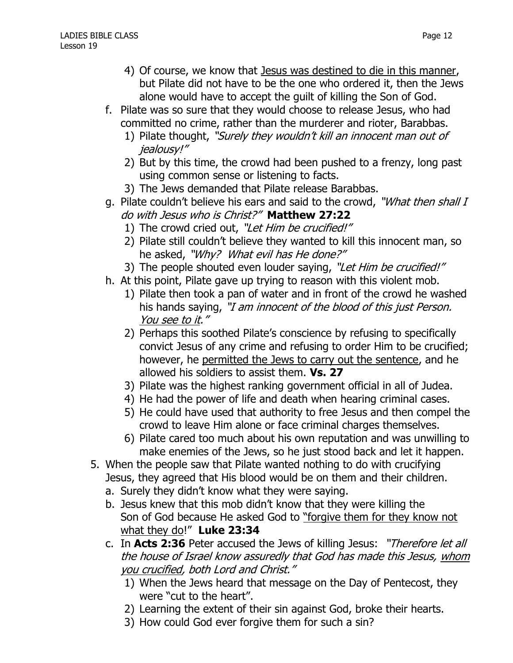- 4) Of course, we know that Jesus was destined to die in this manner, but Pilate did not have to be the one who ordered it, then the Jews alone would have to accept the guilt of killing the Son of God.
- f. Pilate was so sure that they would choose to release Jesus, who had committed no crime, rather than the murderer and rioter, Barabbas.
	- 1) Pilate thought, "Surely they wouldn't kill an innocent man out of jealousy!"
	- 2) But by this time, the crowd had been pushed to a frenzy, long past using common sense or listening to facts.
	- 3) The Jews demanded that Pilate release Barabbas.
- g. Pilate couldn't believe his ears and said to the crowd, "*What then shall I* do with Jesus who is Christ?" **Matthew 27:22**
	- 1) The crowd cried out, "Let Him be crucified!"
	- 2) Pilate still couldn't believe they wanted to kill this innocent man, so he asked, "Why? What evil has He done?"
	- 3) The people shouted even louder saying, "Let Him be crucified!"
- h. At this point, Pilate gave up trying to reason with this violent mob.
	- 1) Pilate then took a pan of water and in front of the crowd he washed his hands saying, "I am innocent of the blood of this just Person. You see to it."
	- 2) Perhaps this soothed Pilate's conscience by refusing to specifically convict Jesus of any crime and refusing to order Him to be crucified; however, he permitted the Jews to carry out the sentence, and he allowed his soldiers to assist them. **Vs. 27**
	- 3) Pilate was the highest ranking government official in all of Judea.
	- 4) He had the power of life and death when hearing criminal cases.
	- 5) He could have used that authority to free Jesus and then compel the crowd to leave Him alone or face criminal charges themselves.
	- 6) Pilate cared too much about his own reputation and was unwilling to make enemies of the Jews, so he just stood back and let it happen.
- 5. When the people saw that Pilate wanted nothing to do with crucifying Jesus, they agreed that His blood would be on them and their children.
	- a. Surely they didn't know what they were saying.
	- b. Jesus knew that this mob didn't know that they were killing the Son of God because He asked God to "forgive them for they know not what they do!" **Luke 23:34**
	- c. In **Acts 2:36** Peter accused the Jews of killing Jesus: "Therefore let all the house of Israel know assuredly that God has made this Jesus, whom you crucified, both Lord and Christ."
		- 1) When the Jews heard that message on the Day of Pentecost, they were "cut to the heart".
		- 2) Learning the extent of their sin against God, broke their hearts.
		- 3) How could God ever forgive them for such a sin?